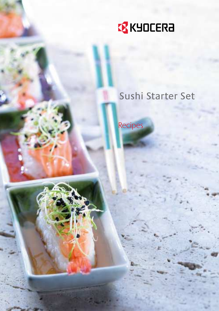

# Sushi Starter Set

**Recipes**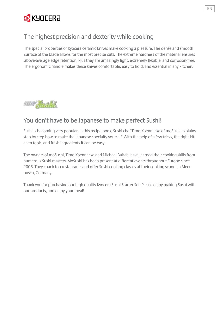## **EX** KYOCERA

## The highest precision and dexterity while cooking

The special properties of Kyocera ceramic knives make cooking a pleasure. The dense and smooth surface of the blade allows for the most precise cuts. The extreme hardness of the material ensures above-average edge retention. Plus they are amazingly light, extremely flexible, and corrosion-free. The ergonomic handle makes these knives comfortable, easy to hold, and essential in any kitchen.



#### You don't have to be Japanese to make perfect Sushi!

Sushi is becoming very popular. In this recipe book, Sushi chef Timo Koennecke of moSushi explains step by step how to make the Japanese specialty yourself. With the help of a few tricks, the right kitchen tools, and fresh ingredients it can be easy.

The owners of moSushi, Timo Koennecke and Michael Baisch, have learned their cooking skills from numerous Sushi masters. MoSushi has been present at different events throughout Europe since 2006. They coach top restaurants and offer Sushi cooking classes at their cooking school in Meerbusch, Germany.

Thank you for purchasing our high quality Kyocera Sushi Starter Set. Please enjoy making Sushi with our products, and enjoy your meal!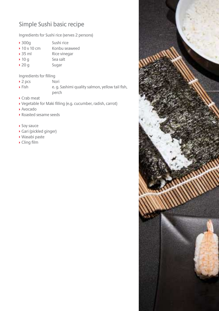## Simple Sushi basic recipe

Ingredients for Sushi rice (serves 2 persons)

- ▶ 300g Sushi rice
- ▶ 10 x 10 cm Konbu seaweed
- ▶ 35 ml Rice vinegar
- ▶ 10 g Sea salt
- ▶ 20 g Sugar

Ingredients for filling

- ▶ 2 pcs Nori
- $\overline{\phantom{a}}$  Fish e.g. Sashimi quality salmon, yellow tail fish, perch
- ▶ Crab meat
- `` Vegetable for Maki filling (e.g. cucumber, radish, carrot)
- ▶ Avocado
- ▶ Roasted sesame seeds
- ▶ Soy sauce
- Gari (pickled ginger)
- `` Wasabi paste
- $\blacktriangleright$  Cling film

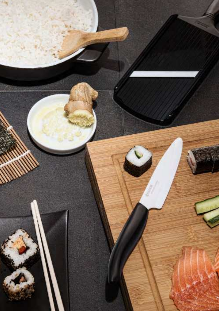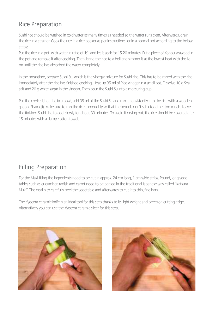## Rice Preparation

Sushi rice should be washed in cold water as many times as needed so the water runs clear. Afterwards, drain the rice in a strainer. Cook the rice in a rice cooker as per instructions, or in a normal pot according to the below steps:

Put the rice in a pot, with water in ratio of 1:1, and let it soak for 15-20 minutes. Put a piece of Konbu seaweed in the pot and remove it after cooking. Then, bring the rice to a boil and simmer it at the lowest heat with the lid on until the rice has absorbed the water completely.

In the meantime, prepare Sushi-Su, which is the vinegar mixture for Sushi rice. This has to be mixed with the rice immediately after the rice has finished cooking. Heat up 35 ml of Rice vinegar in a small pot. Dissolve 10 g Sea salt and 20 g white sugar in the vinegar. Then pour the Sushi-Su into a measuring cup.

Put the cooked, hot rice in a bowl, add 35 ml of the Sushi-Su and mix it consistently into the rice with a wooden spoon (Shamoji). Make sure to mix the rice thoroughly so that the kernels don't stick together too much. Leave the finished Sushi rice to cool slowly for about 30 minutes. To avoid it drying out, the rice should be covered after 15 minutes with a damp cotton towel.

## Filling Preparation

For the Maki filling the ingredients need to be cut in approx. 24 cm long, 1 cm wide strips. Round, long vegetables such as cucumber, radish and carrot need to be peeled in the traditional Japanese way called "Katsura Muki". The goal is to carefully peel the vegetable and afterwards to cut into thin, fine bars.

The Kyocera ceramic knife is an ideal tool for this step thanks to its light weight and precision cutting edge. Alternatively you can use the Kyocera ceramic slicer for this step.



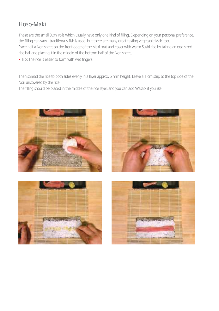#### Hoso-Maki

These are the small Sushi rolls which usually have only one kind of filling. Depending on your personal preference, the filling can vary - traditionally fish is used, but there are many great tasting vegetable Maki too. Place half a Nori sheet on the front edge of the Maki mat and cover with warm Sushi rice by taking an egg sized rice ball and placing it in the middle of the bottom half of the Nori sheet.

 $\rightarrow$  Tip: The rice is easier to form with wet fingers.

Then spread the rice to both sides evenly in a layer approx. 5 mm height. Leave a 1 cm strip at the top side of the Nori uncovered by the rice.

The filling should be placed in the middle of the rice layer, and you can add Wasabi if you like.







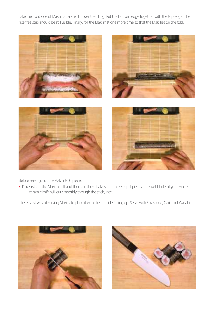Take the front side of Maki mat and roll it over the filling. Put the bottom edge together with the top edge. The rice free strip should be still visible. Finally, roll the Maki mat one more time so that the Maki lies on the fold.



Before serving, cut the Maki into 6 pieces.

If Tip: First cut the Maki in half and then cut these halves into three equal pieces. The wet blade of your Kyocera ceramic knife will cut smoothly through the sticky rice.

The easiest way of serving Maki is to place it with the cut side facing up. Serve with Soy sauce, Gari amd Wasabi.



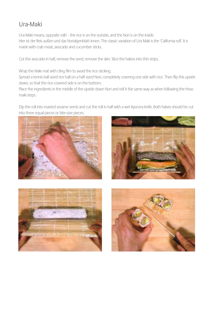#### Ura-Maki

Ura-Maki means, opposite rolls' - the rice is on the outside, and the Nori is on the inside. Hier ist der Reis außen und das Norialgenblatt innen. The classic variation of Ura Maki is the 'California roll'. It is made with crab meat, avocado and cucumber sticks.

Cut the avocado in half, remove the seed, remove the skin. Slice the halves into thin strips.

Wrap the Maki mat with cling film to avoid the rice sticking.

Spread a tennis ball sized rice ball on a half sized Nori, completely covering one side with rice. Then flip this upside down, so that the rice covered side is on the bottom.

Place the ingredients in the middle of the upside down Nori and roll it the same way as when following the Hoso maki steps.

Dip the roll into roasted sesame seeds and cut the roll in half with a wet Kyocera knife. Both halves should be cut into three equal pieces or bite-size pieces.







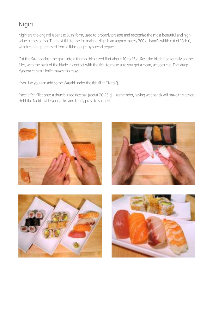#### Nigiri

Nigiri are the original Japanese Sushi form, used to properly present and recognise the most beautiful and high value pieces of fish. The best fish to use for making Nigiri is an approximately 300 g, hand's-width cut of "Saku", which can be purchased from a fishmonger by special request.

Cut the Saku against the grain into a thumb thick sized fillet about 10 to 15 g. Rest the blade horizontally on the fillet, with the back of the blade in contact with the fish, to make sure you get a clean, smooth cut. The sharp Kyocera ceramic knife makes this easy.

If you like you can add some Wasabi under the fish fillet ("Neta").

Place a fish fillet onto a thumb sized rice ball (about 20-25 g) – remember, having wet hands will make this easier. Hold the Nigiri inside your palm and lightly press to shape it.

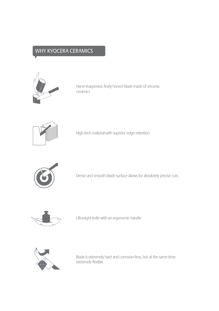#### WHY KYOCERA CERAMICS



Hand-sharpened, finely honed blade made of zirconia ceramics



High-tech material with superior edge retention



Dense and smooth blade surface allows for absolutely precise cuts



Ultra-light knife with an ergonomic handle



Blade is extremely hard and corrosion-free, but at the same time extremely flexible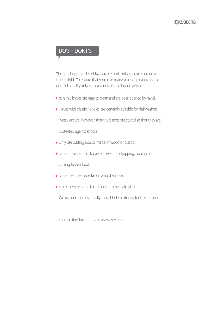#### DO'S + DONT'S

The special properties of Kyocera ceramic knives make cooking a true delight. To ensure that you have many years of pleasure from our high-quality knives, please note the following advice:

- $\rightarrow$  ceramic knives are easy to clean and are best cleaned by hand.
- If Knives with plastic handles are generally suitable for dishwashers.

Please ensure, however, that the blades are stored so that they are

protected against knocks.

- $\rightarrow$  Only use cutting boards made of wood or plastic.
- $\rightarrow$  Do not use ceramic knives for levering, chopping, boning or

cutting frozen food.

- `` Do not let the blade fall on a hard surface.
- **>** Store the knives in a knife block or other safe place.

We recommend using a Kyocera blade protector for this purpose.

You can find further tips at www.kyocera.eu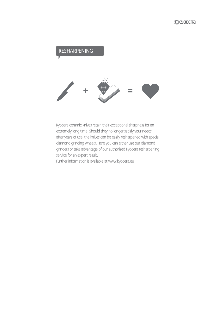

Kyocera ceramic knives retain their exceptional sharpness for an extremely long time. Should they no longer satisfy your needs after years of use, the knives can be easily resharpened with special diamond grinding wheels. Here you can either use our diamond grinders or take advantage of our authorised Kyocera resharpening service for an expert result.

Further information is available at www.kyocera.eu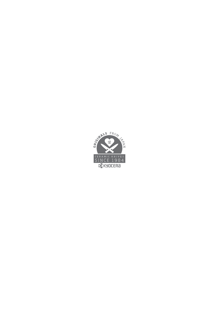